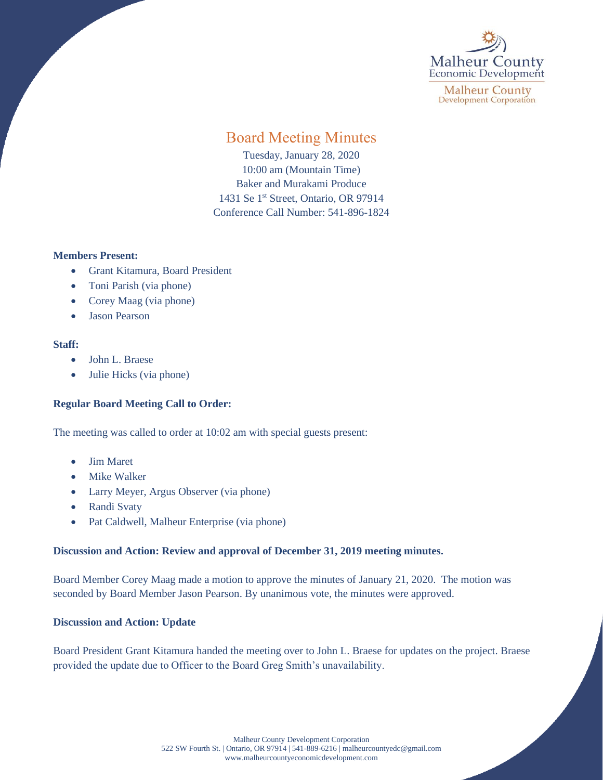

**Malheur County Development Corporation** 

# Board Meeting Minutes

Tuesday, January 28, 2020 10:00 am (Mountain Time) Baker and Murakami Produce 1431 Se 1<sup>st</sup> Street, Ontario, OR 97914 Conference Call Number: 541-896-1824

## **Members Present:**

- Grant Kitamura, Board President
- Toni Parish (via phone)
- Corey Maag (via phone)
- Jason Pearson

## **Staff:**

- John L. Braese
- Julie Hicks (via phone)

## **Regular Board Meeting Call to Order:**

The meeting was called to order at 10:02 am with special guests present:

- Jim Maret
- Mike Walker
- Larry Meyer, Argus Observer (via phone)
- Randi Svaty
- Pat Caldwell, Malheur Enterprise (via phone)

## **Discussion and Action: Review and approval of December 31, 2019 meeting minutes.**

Board Member Corey Maag made a motion to approve the minutes of January 21, 2020. The motion was seconded by Board Member Jason Pearson. By unanimous vote, the minutes were approved.

## **Discussion and Action: Update**

Board President Grant Kitamura handed the meeting over to John L. Braese for updates on the project. Braese provided the update due to Officer to the Board Greg Smith's unavailability.